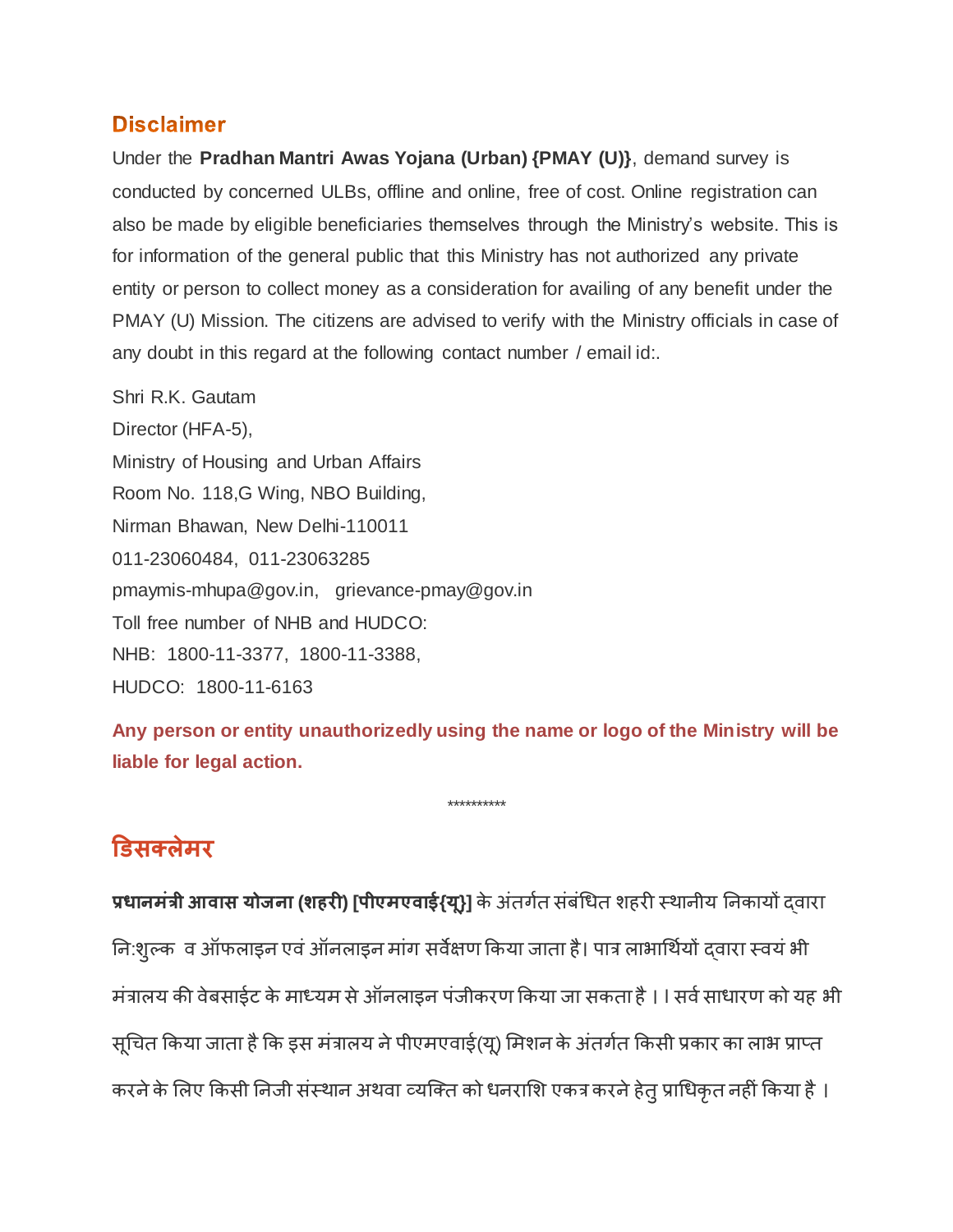## **Disclaimer**

Under the **Pradhan Mantri Awas Yojana (Urban) {PMAY (U)}**, demand survey is conducted by concerned ULBs, offline and online, free of cost. Online registration can also be made by eligible beneficiaries themselves through the Ministry's website. This is for information of the general public that this Ministry has not authorized any private entity or person to collect money as a consideration for availing of any benefit under the PMAY (U) Mission. The citizens are advised to verify with the Ministry officials in case of any doubt in this regard at the following contact number / email id:.

Shri R.K. Gautam Director (HFA-5), Ministry of Housing and Urban Affairs Room No. 118,G Wing, NBO Building, Nirman Bhawan, New Delhi-110011 011-23060484, 011-23063285 pmaymis-mhupa@gov.in, grievance-pmay@gov.in Toll free number of NHB and HUDCO: NHB: 1800-11-3377, 1800-11-3388, HUDCO: 1800-11-6163

**Any person or entity unauthorizedly using the name or logo of the Ministry will be liable for legal action.**

\*\*\*\*\*\*\*\*\*\*

## **डिसक्लेमर**

**प्रधानमंत्री आवास योजना (शहरी) [पीएमएवाई{यू}]** के अंतर्गत संबंधित शहरी स्थानीय ननकायों द्वारा नि:शुल्क व ऑफलाइन एवं ऑनलाइन मांग सर्वेक्षण किया जाता है। पात्र लाभार्थियों दवारा स्वयं भी मंत्रालय की वेबसाईट के माध्यम से ऑनलाइन पंजीकरण किया जा सकता है । l सर्व साधारण को यह भी सूचित किया जाता है कि इस मंत्रालय ने पीएमएवाई(यू) मिशन के अंतर्गत किसी प्रकार का लाभ प्राप्त करने के लिए किसी निजी संस्थान अथवा व्यक्ति को धनराशि एकत्र करने हेत् प्राधिकृत नहीं किया है ।